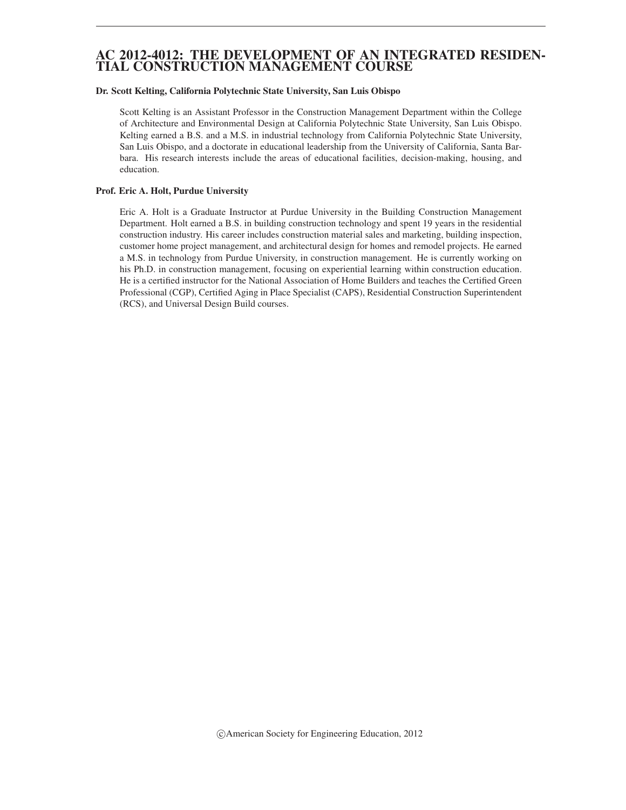### AC 2012-4012: THE DEVELOPMENT OF AN INTEGRATED RESIDEN-TIAL CONSTRUCTION MANAGEMENT COURSE

#### Dr. Scott Kelting, California Polytechnic State University, San Luis Obispo

Scott Kelting is an Assistant Professor in the Construction Management Department within the College of Architecture and Environmental Design at California Polytechnic State University, San Luis Obispo. Kelting earned a B.S. and a M.S. in industrial technology from California Polytechnic State University, San Luis Obispo, and a doctorate in educational leadership from the University of California, Santa Barbara. His research interests include the areas of educational facilities, decision-making, housing, and education.

#### Prof. Eric A. Holt, Purdue University

Eric A. Holt is a Graduate Instructor at Purdue University in the Building Construction Management Department. Holt earned a B.S. in building construction technology and spent 19 years in the residential construction industry. His career includes construction material sales and marketing, building inspection, customer home project management, and architectural design for homes and remodel projects. He earned a M.S. in technology from Purdue University, in construction management. He is currently working on his Ph.D. in construction management, focusing on experiential learning within construction education. He is a certified instructor for the National Association of Home Builders and teaches the Certified Green Professional (CGP), Certified Aging in Place Specialist (CAPS), Residential Construction Superintendent (RCS), and Universal Design Build courses.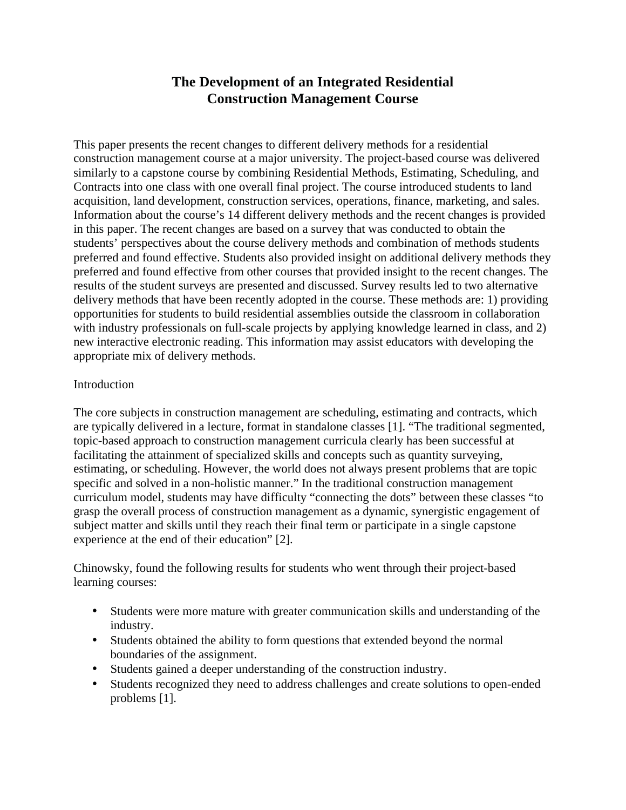# **The Development of an Integrated Residential Construction Management Course**

This paper presents the recent changes to different delivery methods for a residential construction management course at a major university. The project-based course was delivered similarly to a capstone course by combining Residential Methods, Estimating, Scheduling, and Contracts into one class with one overall final project. The course introduced students to land acquisition, land development, construction services, operations, finance, marketing, and sales. Information about the course's 14 different delivery methods and the recent changes is provided in this paper. The recent changes are based on a survey that was conducted to obtain the students' perspectives about the course delivery methods and combination of methods students preferred and found effective. Students also provided insight on additional delivery methods they preferred and found effective from other courses that provided insight to the recent changes. The results of the student surveys are presented and discussed. Survey results led to two alternative delivery methods that have been recently adopted in the course. These methods are: 1) providing opportunities for students to build residential assemblies outside the classroom in collaboration with industry professionals on full-scale projects by applying knowledge learned in class, and 2) new interactive electronic reading. This information may assist educators with developing the appropriate mix of delivery methods.

## Introduction

The core subjects in construction management are scheduling, estimating and contracts, which are typically delivered in a lecture, format in standalone classes [1]. "The traditional segmented, topic-based approach to construction management curricula clearly has been successful at facilitating the attainment of specialized skills and concepts such as quantity surveying, estimating, or scheduling. However, the world does not always present problems that are topic specific and solved in a non-holistic manner." In the traditional construction management curriculum model, students may have difficulty "connecting the dots" between these classes "to grasp the overall process of construction management as a dynamic, synergistic engagement of subject matter and skills until they reach their final term or participate in a single capstone experience at the end of their education" [2].

Chinowsky, found the following results for students who went through their project-based learning courses:

- Students were more mature with greater communication skills and understanding of the industry.
- Students obtained the ability to form questions that extended beyond the normal boundaries of the assignment.
- • Students gained a deeper understanding of the construction industry.
- Students recognized they need to address challenges and create solutions to open-ended problems [1].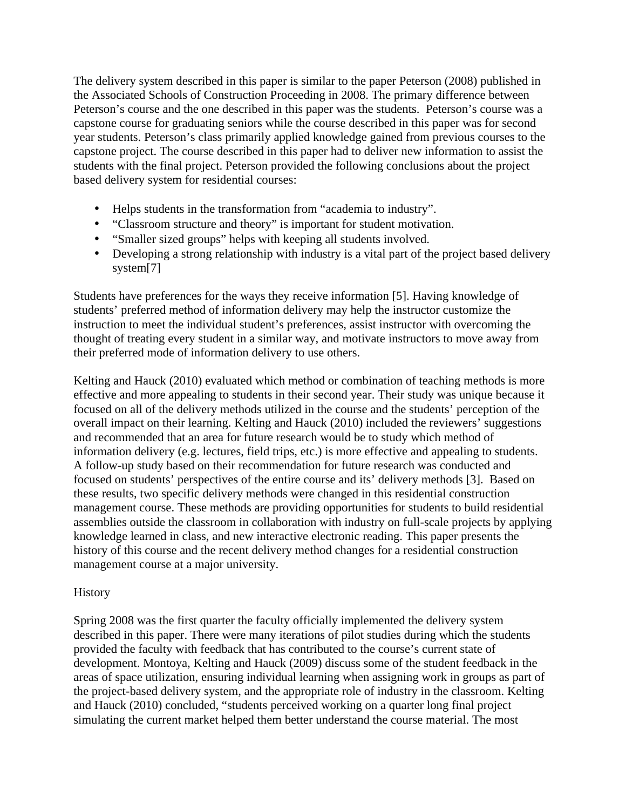The delivery system described in this paper is similar to the paper Peterson (2008) published in the Associated Schools of Construction Proceeding in 2008. The primary difference between Peterson's course and the one described in this paper was the students. Peterson's course was a capstone course for graduating seniors while the course described in this paper was for second year students. Peterson's class primarily applied knowledge gained from previous courses to the capstone project. The course described in this paper had to deliver new information to assist the students with the final project. Peterson provided the following conclusions about the project based delivery system for residential courses:

- Helps students in the transformation from "academia to industry".
- "Classroom structure and theory" is important for student motivation.
- • "Smaller sized groups" helps with keeping all students involved.
- Developing a strong relationship with industry is a vital part of the project based delivery system<sup>[7]</sup>

Students have preferences for the ways they receive information [5]. Having knowledge of students' preferred method of information delivery may help the instructor customize the instruction to meet the individual student's preferences, assist instructor with overcoming the thought of treating every student in a similar way, and motivate instructors to move away from their preferred mode of information delivery to use others.

Kelting and Hauck (2010) evaluated which method or combination of teaching methods is more effective and more appealing to students in their second year. Their study was unique because it focused on all of the delivery methods utilized in the course and the students' perception of the overall impact on their learning. Kelting and Hauck (2010) included the reviewers' suggestions and recommended that an area for future research would be to study which method of information delivery (e.g. lectures, field trips, etc.) is more effective and appealing to students. A follow-up study based on their recommendation for future research was conducted and focused on students' perspectives of the entire course and its' delivery methods [3]. Based on these results, two specific delivery methods were changed in this residential construction management course. These methods are providing opportunities for students to build residential assemblies outside the classroom in collaboration with industry on full-scale projects by applying knowledge learned in class, and new interactive electronic reading. This paper presents the history of this course and the recent delivery method changes for a residential construction management course at a major university.

## History

Spring 2008 was the first quarter the faculty officially implemented the delivery system described in this paper. There were many iterations of pilot studies during which the students provided the faculty with feedback that has contributed to the course's current state of development. Montoya, Kelting and Hauck (2009) discuss some of the student feedback in the areas of space utilization, ensuring individual learning when assigning work in groups as part of the project-based delivery system, and the appropriate role of industry in the classroom. Kelting and Hauck (2010) concluded, "students perceived working on a quarter long final project simulating the current market helped them better understand the course material. The most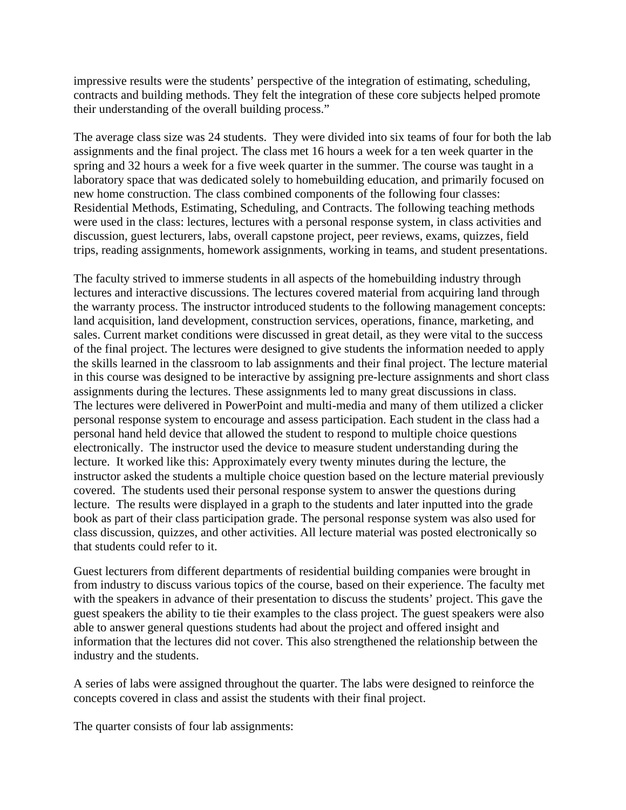impressive results were the students' perspective of the integration of estimating, scheduling, contracts and building methods. They felt the integration of these core subjects helped promote their understanding of the overall building process."

The average class size was 24 students. They were divided into six teams of four for both the lab assignments and the final project. The class met 16 hours a week for a ten week quarter in the spring and 32 hours a week for a five week quarter in the summer. The course was taught in a laboratory space that was dedicated solely to homebuilding education, and primarily focused on new home construction. The class combined components of the following four classes: Residential Methods, Estimating, Scheduling, and Contracts. The following teaching methods were used in the class: lectures, lectures with a personal response system, in class activities and discussion, guest lecturers, labs, overall capstone project, peer reviews, exams, quizzes, field trips, reading assignments, homework assignments, working in teams, and student presentations.

The faculty strived to immerse students in all aspects of the homebuilding industry through lectures and interactive discussions. The lectures covered material from acquiring land through the warranty process. The instructor introduced students to the following management concepts: land acquisition, land development, construction services, operations, finance, marketing, and sales. Current market conditions were discussed in great detail, as they were vital to the success of the final project. The lectures were designed to give students the information needed to apply the skills learned in the classroom to lab assignments and their final project. The lecture material in this course was designed to be interactive by assigning pre-lecture assignments and short class assignments during the lectures. These assignments led to many great discussions in class. The lectures were delivered in PowerPoint and multi-media and many of them utilized a clicker personal response system to encourage and assess participation. Each student in the class had a personal hand held device that allowed the student to respond to multiple choice questions electronically. The instructor used the device to measure student understanding during the lecture. It worked like this: Approximately every twenty minutes during the lecture, the instructor asked the students a multiple choice question based on the lecture material previously covered. The students used their personal response system to answer the questions during lecture. The results were displayed in a graph to the students and later inputted into the grade book as part of their class participation grade. The personal response system was also used for class discussion, quizzes, and other activities. All lecture material was posted electronically so that students could refer to it.

Guest lecturers from different departments of residential building companies were brought in from industry to discuss various topics of the course, based on their experience. The faculty met with the speakers in advance of their presentation to discuss the students' project. This gave the guest speakers the ability to tie their examples to the class project. The guest speakers were also able to answer general questions students had about the project and offered insight and information that the lectures did not cover. This also strengthened the relationship between the industry and the students.

A series of labs were assigned throughout the quarter. The labs were designed to reinforce the concepts covered in class and assist the students with their final project.

The quarter consists of four lab assignments: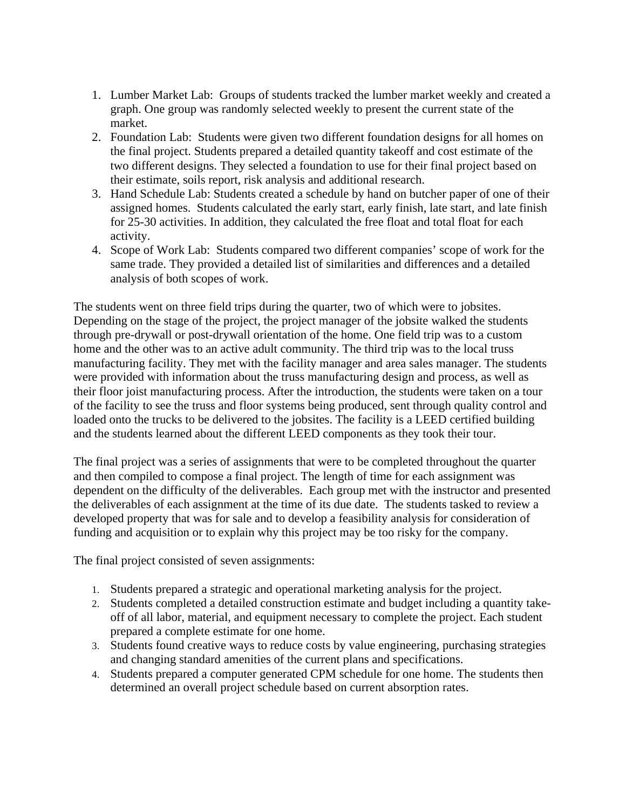- 1. Lumber Market Lab: Groups of students tracked the lumber market weekly and created a graph. One group was randomly selected weekly to present the current state of the market.
- 2. Foundation Lab: Students were given two different foundation designs for all homes on the final project. Students prepared a detailed quantity takeoff and cost estimate of the two different designs. They selected a foundation to use for their final project based on their estimate, soils report, risk analysis and additional research.
- 3. Hand Schedule Lab: Students created a schedule by hand on butcher paper of one of their assigned homes. Students calculated the early start, early finish, late start, and late finish for 25-30 activities. In addition, they calculated the free float and total float for each activity.
- 4. Scope of Work Lab: Students compared two different companies' scope of work for the same trade. They provided a detailed list of similarities and differences and a detailed analysis of both scopes of work.

The students went on three field trips during the quarter, two of which were to jobsites. Depending on the stage of the project, the project manager of the jobsite walked the students through pre-drywall or post-drywall orientation of the home. One field trip was to a custom home and the other was to an active adult community. The third trip was to the local truss manufacturing facility. They met with the facility manager and area sales manager. The students were provided with information about the truss manufacturing design and process, as well as their floor joist manufacturing process. After the introduction, the students were taken on a tour of the facility to see the truss and floor systems being produced, sent through quality control and loaded onto the trucks to be delivered to the jobsites. The facility is a LEED certified building and the students learned about the different LEED components as they took their tour.

The final project was a series of assignments that were to be completed throughout the quarter and then compiled to compose a final project. The length of time for each assignment was dependent on the difficulty of the deliverables. Each group met with the instructor and presented the deliverables of each assignment at the time of its due date. The students tasked to review a developed property that was for sale and to develop a feasibility analysis for consideration of funding and acquisition or to explain why this project may be too risky for the company.

The final project consisted of seven assignments:

- 1. Students prepared a strategic and operational marketing analysis for the project.
- 2. Students completed a detailed construction estimate and budget including a quantity takeoff of all labor, material, and equipment necessary to complete the project. Each student prepared a complete estimate for one home.
- 3. Students found creative ways to reduce costs by value engineering, purchasing strategies and changing standard amenities of the current plans and specifications.
- 4. Students prepared a computer generated CPM schedule for one home. The students then determined an overall project schedule based on current absorption rates.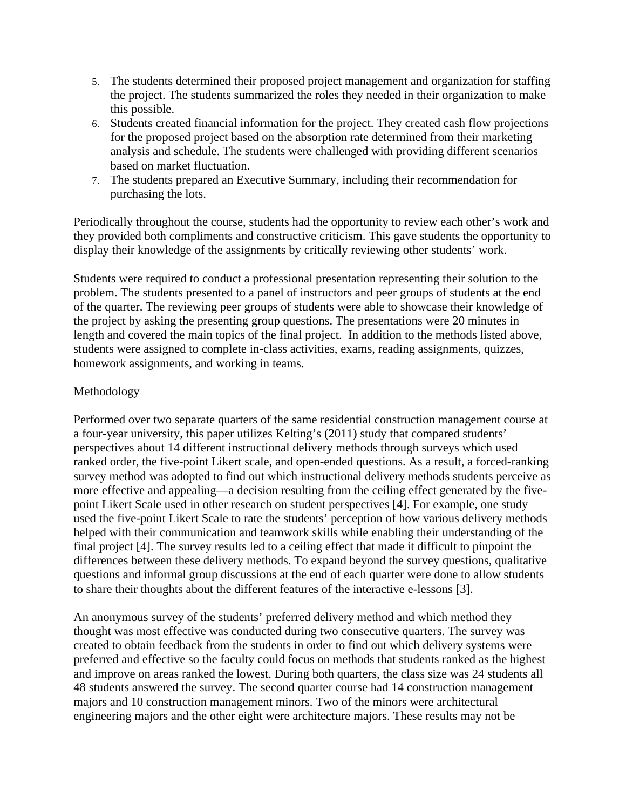- 5. The students determined their proposed project management and organization for staffing the project. The students summarized the roles they needed in their organization to make this possible.
- 6. Students created financial information for the project. They created cash flow projections for the proposed project based on the absorption rate determined from their marketing analysis and schedule. The students were challenged with providing different scenarios based on market fluctuation.
- 7. The students prepared an Executive Summary, including their recommendation for purchasing the lots.

Periodically throughout the course, students had the opportunity to review each other's work and they provided both compliments and constructive criticism. This gave students the opportunity to display their knowledge of the assignments by critically reviewing other students' work.

Students were required to conduct a professional presentation representing their solution to the problem. The students presented to a panel of instructors and peer groups of students at the end of the quarter. The reviewing peer groups of students were able to showcase their knowledge of the project by asking the presenting group questions. The presentations were 20 minutes in length and covered the main topics of the final project. In addition to the methods listed above, students were assigned to complete in-class activities, exams, reading assignments, quizzes, homework assignments, and working in teams.

## Methodology

Performed over two separate quarters of the same residential construction management course at a four-year university, this paper utilizes Kelting's (2011) study that compared students' perspectives about 14 different instructional delivery methods through surveys which used ranked order, the five-point Likert scale, and open-ended questions. As a result, a forced-ranking survey method was adopted to find out which instructional delivery methods students perceive as more effective and appealing—a decision resulting from the ceiling effect generated by the fivepoint Likert Scale used in other research on student perspectives [4]. For example, one study used the five-point Likert Scale to rate the students' perception of how various delivery methods helped with their communication and teamwork skills while enabling their understanding of the final project [4]. The survey results led to a ceiling effect that made it difficult to pinpoint the differences between these delivery methods. To expand beyond the survey questions, qualitative questions and informal group discussions at the end of each quarter were done to allow students to share their thoughts about the different features of the interactive e-lessons [3].

An anonymous survey of the students' preferred delivery method and which method they thought was most effective was conducted during two consecutive quarters. The survey was created to obtain feedback from the students in order to find out which delivery systems were preferred and effective so the faculty could focus on methods that students ranked as the highest and improve on areas ranked the lowest. During both quarters, the class size was 24 students all 48 students answered the survey. The second quarter course had 14 construction management majors and 10 construction management minors. Two of the minors were architectural engineering majors and the other eight were architecture majors. These results may not be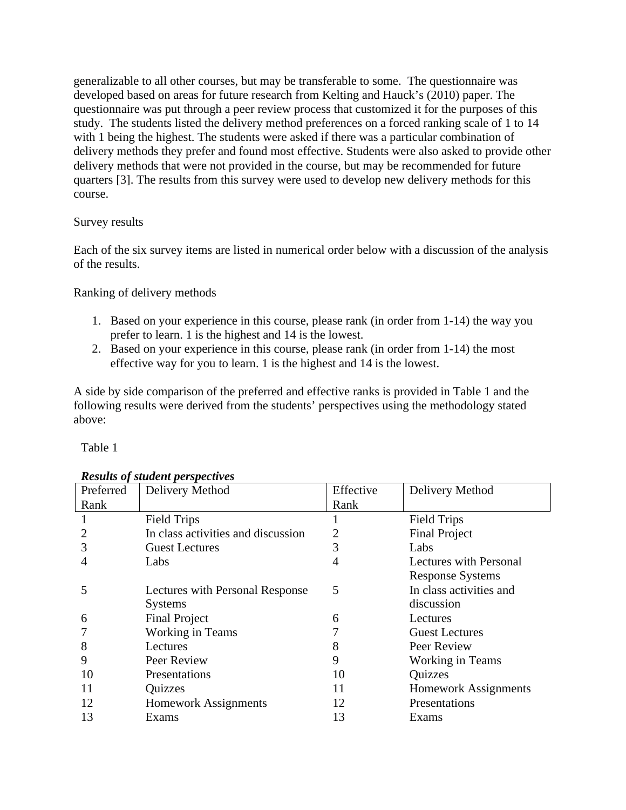generalizable to all other courses, but may be transferable to some. The questionnaire was developed based on areas for future research from Kelting and Hauck's (2010) paper. The questionnaire was put through a peer review process that customized it for the purposes of this study. The students listed the delivery method preferences on a forced ranking scale of 1 to 14 with 1 being the highest. The students were asked if there was a particular combination of delivery methods they prefer and found most effective. Students were also asked to provide other delivery methods that were not provided in the course, but may be recommended for future quarters [3]. The results from this survey were used to develop new delivery methods for this course.

## Survey results

Each of the six survey items are listed in numerical order below with a discussion of the analysis of the results.

Ranking of delivery methods

- 1. Based on your experience in this course, please rank (in order from 1-14) the way you prefer to learn. 1 is the highest and 14 is the lowest.
- 2. Based on your experience in this course, please rank (in order from 1-14) the most effective way for you to learn. 1 is the highest and 14 is the lowest.

A side by side comparison of the preferred and effective ranks is provided in Table 1 and the following results were derived from the students' perspectives using the methodology stated above:

Table 1

| Preferred | Delivery Method                    | Effective | Delivery Method             |
|-----------|------------------------------------|-----------|-----------------------------|
| Rank      |                                    | Rank      |                             |
|           | <b>Field Trips</b>                 |           | <b>Field Trips</b>          |
| 2         | In class activities and discussion |           | <b>Final Project</b>        |
| 3         | <b>Guest Lectures</b>              | 3         | Labs                        |
|           | Labs                               | 4         | Lectures with Personal      |
|           |                                    |           | <b>Response Systems</b>     |
| 5         | Lectures with Personal Response    | 5         | In class activities and     |
|           | <b>Systems</b>                     |           | discussion                  |
| 6         | <b>Final Project</b>               | 6         | Lectures                    |
|           | Working in Teams                   |           | <b>Guest Lectures</b>       |
| 8         | Lectures                           | 8         | Peer Review                 |
| 9         | Peer Review                        | 9         | Working in Teams            |
| 10        | Presentations                      | 10        | Quizzes                     |
| 11        | <b>Quizzes</b>                     | 11        | <b>Homework Assignments</b> |
| 12        | <b>Homework Assignments</b>        | 12        | Presentations               |
| 13        | Exams                              | 13        | Exams                       |

### *Results of student perspectives*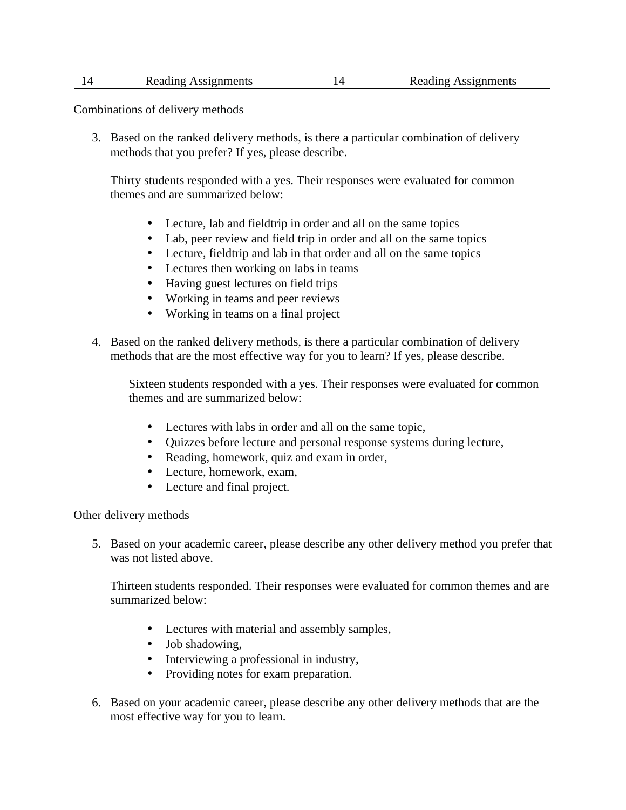#### 14 Reading Assignments 14 Reading Assignments

Combinations of delivery methods

3. Based on the ranked delivery methods, is there a particular combination of delivery methods that you prefer? If yes, please describe.

Thirty students responded with a yes. Their responses were evaluated for common themes and are summarized below:

- Lecture, lab and fieldtrip in order and all on the same topics
- Lab, peer review and field trip in order and all on the same topics
- Lecture, fieldtrip and lab in that order and all on the same topics
- Lectures then working on labs in teams
- Having guest lectures on field trips
- Working in teams and peer reviews
- Working in teams on a final project
- 4. Based on the ranked delivery methods, is there a particular combination of delivery methods that are the most effective way for you to learn? If yes, please describe.

Sixteen students responded with a yes. Their responses were evaluated for common themes and are summarized below:

- Lectures with labs in order and all on the same topic,
- • Quizzes before lecture and personal response systems during lecture,
- Reading, homework, quiz and exam in order,
- Lecture, homework, exam,
- Lecture and final project.

Other delivery methods

5. Based on your academic career, please describe any other delivery method you prefer that was not listed above.

Thirteen students responded. Their responses were evaluated for common themes and are summarized below:

- • Lectures with material and assembly samples,
- Job shadowing,
- Interviewing a professional in industry,
- Providing notes for exam preparation.
- 6. Based on your academic career, please describe any other delivery methods that are the most effective way for you to learn.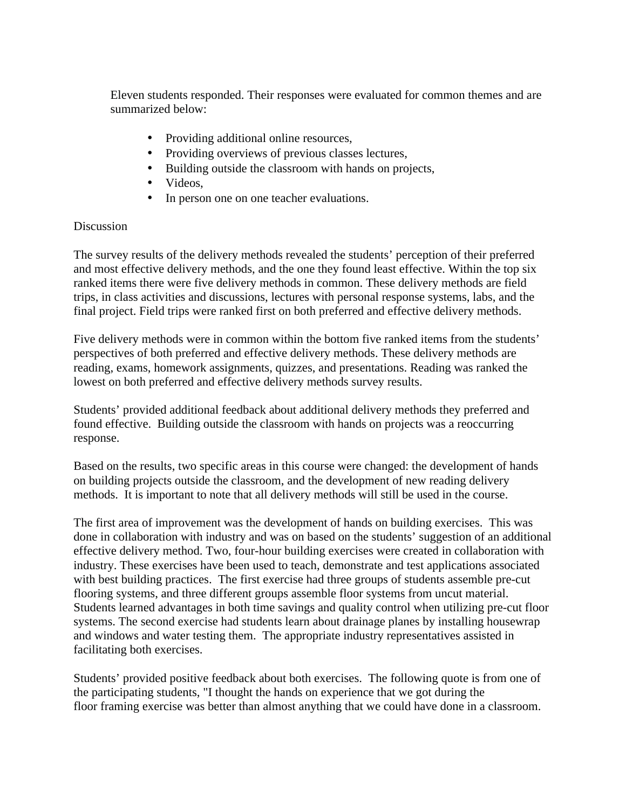Eleven students responded. Their responses were evaluated for common themes and are summarized below:

- Providing additional online resources,
- Providing overviews of previous classes lectures,
- Building outside the classroom with hands on projects,
- Videos,
- In person one on one teacher evaluations.

## Discussion

The survey results of the delivery methods revealed the students' perception of their preferred and most effective delivery methods, and the one they found least effective. Within the top six ranked items there were five delivery methods in common. These delivery methods are field trips, in class activities and discussions, lectures with personal response systems, labs, and the final project. Field trips were ranked first on both preferred and effective delivery methods.

Five delivery methods were in common within the bottom five ranked items from the students' perspectives of both preferred and effective delivery methods. These delivery methods are reading, exams, homework assignments, quizzes, and presentations. Reading was ranked the lowest on both preferred and effective delivery methods survey results.

Students' provided additional feedback about additional delivery methods they preferred and found effective. Building outside the classroom with hands on projects was a reoccurring response.

Based on the results, two specific areas in this course were changed: the development of hands on building projects outside the classroom, and the development of new reading delivery methods. It is important to note that all delivery methods will still be used in the course.

The first area of improvement was the development of hands on building exercises. This was done in collaboration with industry and was on based on the students' suggestion of an additional effective delivery method. Two, four-hour building exercises were created in collaboration with industry. These exercises have been used to teach, demonstrate and test applications associated with best building practices. The first exercise had three groups of students assemble pre-cut flooring systems, and three different groups assemble floor systems from uncut material. Students learned advantages in both time savings and quality control when utilizing pre-cut floor systems. The second exercise had students learn about drainage planes by installing housewrap and windows and water testing them. The appropriate industry representatives assisted in facilitating both exercises.

Students' provided positive feedback about both exercises. The following quote is from one of the participating students, "I thought the hands on experience that we got during the floor framing exercise was better than almost anything that we could have done in a classroom.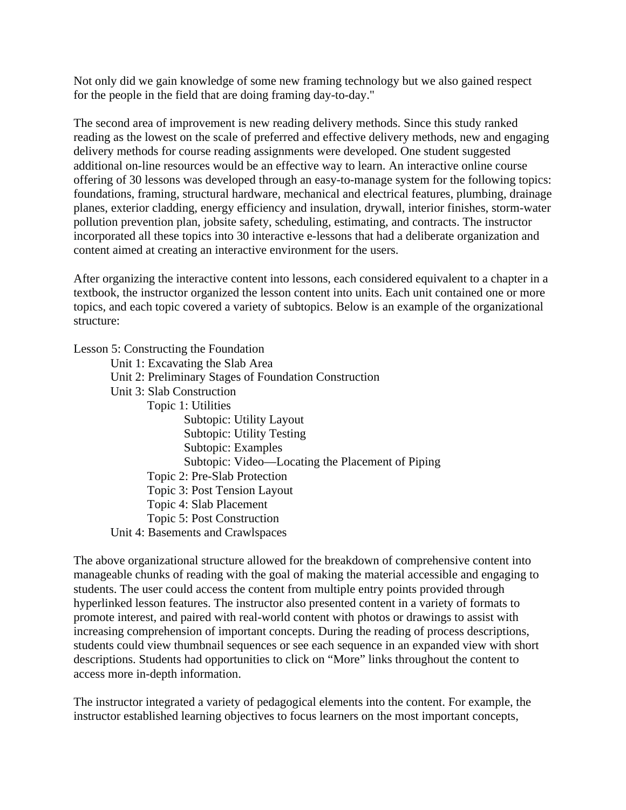Not only did we gain knowledge of some new framing technology but we also gained respect for the people in the field that are doing framing day-to-day."

The second area of improvement is new reading delivery methods. Since this study ranked reading as the lowest on the scale of preferred and effective delivery methods, new and engaging delivery methods for course reading assignments were developed. One student suggested additional on-line resources would be an effective way to learn. An interactive online course offering of 30 lessons was developed through an easy-to-manage system for the following topics: foundations, framing, structural hardware, mechanical and electrical features, plumbing, drainage planes, exterior cladding, energy efficiency and insulation, drywall, interior finishes, storm-water pollution prevention plan, jobsite safety, scheduling, estimating, and contracts. The instructor incorporated all these topics into 30 interactive e-lessons that had a deliberate organization and content aimed at creating an interactive environment for the users.

After organizing the interactive content into lessons, each considered equivalent to a chapter in a textbook, the instructor organized the lesson content into units. Each unit contained one or more topics, and each topic covered a variety of subtopics. Below is an example of the organizational structure:

Lesson 5: Constructing the Foundation

Unit 1: Excavating the Slab Area Unit 2: Preliminary Stages of Foundation Construction Unit 3: Slab Construction Topic 1: Utilities Subtopic: Utility Layout Subtopic: Utility Testing Subtopic: Examples Subtopic: Video—Locating the Placement of Piping Topic 2: Pre-Slab Protection Topic 3: Post Tension Layout Topic 4: Slab Placement Topic 5: Post Construction Unit 4: Basements and Crawlspaces

The above organizational structure allowed for the breakdown of comprehensive content into manageable chunks of reading with the goal of making the material accessible and engaging to students. The user could access the content from multiple entry points provided through hyperlinked lesson features. The instructor also presented content in a variety of formats to promote interest, and paired with real-world content with photos or drawings to assist with increasing comprehension of important concepts. During the reading of process descriptions, students could view thumbnail sequences or see each sequence in an expanded view with short descriptions. Students had opportunities to click on "More" links throughout the content to access more in-depth information.

The instructor integrated a variety of pedagogical elements into the content. For example, the instructor established learning objectives to focus learners on the most important concepts,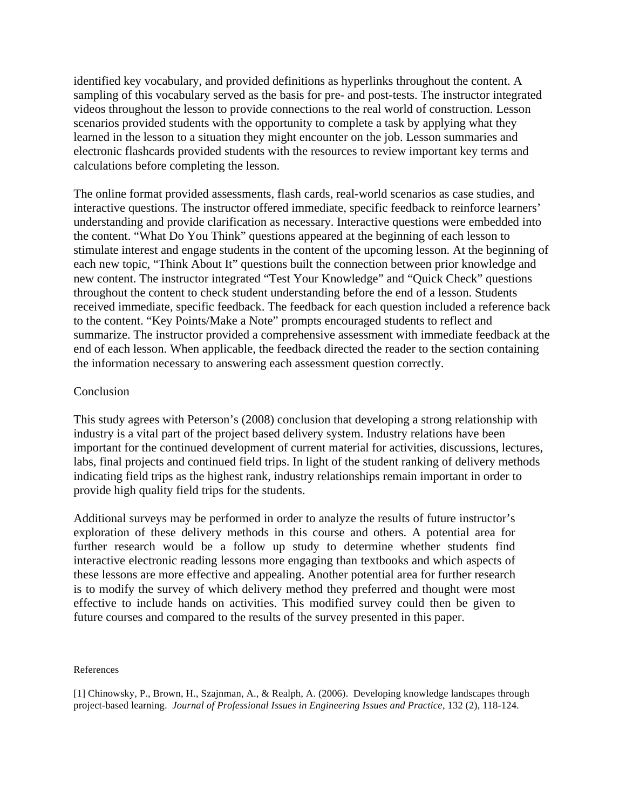identified key vocabulary, and provided definitions as hyperlinks throughout the content. A sampling of this vocabulary served as the basis for pre- and post-tests. The instructor integrated videos throughout the lesson to provide connections to the real world of construction. Lesson scenarios provided students with the opportunity to complete a task by applying what they learned in the lesson to a situation they might encounter on the job. Lesson summaries and electronic flashcards provided students with the resources to review important key terms and calculations before completing the lesson.

The online format provided assessments, flash cards, real-world scenarios as case studies, and interactive questions. The instructor offered immediate, specific feedback to reinforce learners' understanding and provide clarification as necessary. Interactive questions were embedded into the content. "What Do You Think" questions appeared at the beginning of each lesson to stimulate interest and engage students in the content of the upcoming lesson. At the beginning of each new topic, "Think About It" questions built the connection between prior knowledge and new content. The instructor integrated "Test Your Knowledge" and "Quick Check" questions throughout the content to check student understanding before the end of a lesson. Students received immediate, specific feedback. The feedback for each question included a reference back to the content. "Key Points/Make a Note" prompts encouraged students to reflect and summarize. The instructor provided a comprehensive assessment with immediate feedback at the end of each lesson. When applicable, the feedback directed the reader to the section containing the information necessary to answering each assessment question correctly.

#### Conclusion

This study agrees with Peterson's (2008) conclusion that developing a strong relationship with industry is a vital part of the project based delivery system. Industry relations have been important for the continued development of current material for activities, discussions, lectures, labs, final projects and continued field trips. In light of the student ranking of delivery methods indicating field trips as the highest rank, industry relationships remain important in order to provide high quality field trips for the students.

Additional surveys may be performed in order to analyze the results of future instructor's exploration of these delivery methods in this course and others. A potential area for further research would be a follow up study to determine whether students find interactive electronic reading lessons more engaging than textbooks and which aspects of these lessons are more effective and appealing. Another potential area for further research is to modify the survey of which delivery method they preferred and thought were most effective to include hands on activities. This modified survey could then be given to future courses and compared to the results of the survey presented in this paper.

#### References

[1] Chinowsky, P., Brown, H., Szajnman, A., & Realph, A. (2006). Developing knowledge landscapes through project-based learning. *Journal of Professional Issues in Engineering Issues and Practice*, 132 (2), 118-124.